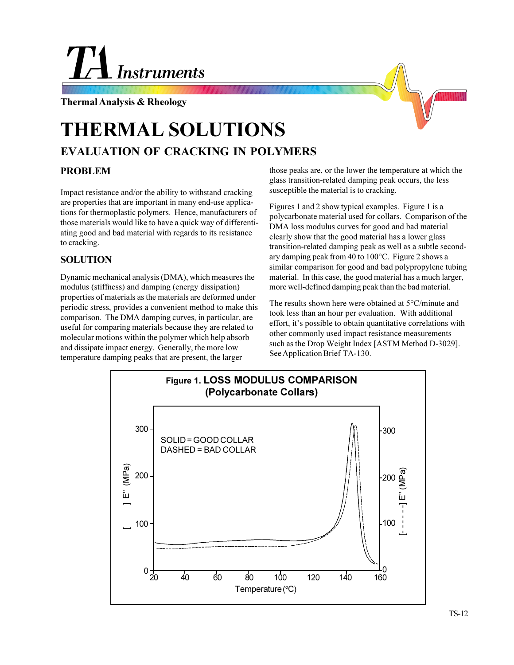## **Instruments**

**Thermal Analysis & Rheology**

## **EVALUATION OF CRACKING IN POLYMERS THERMAL SOLUTIONS**

## **PROBLEM**

Impact resistance and/or the ability to withstand cracking are properties that are important in many end-use applications for thermoplastic polymers. Hence, manufacturers of those materials would like to have a quick way of differentiating good and bad material with regards to its resistance to cracking.

## **SOLUTION**

Dynamic mechanical analysis (DMA), which measures the modulus (stiffness) and damping (energy dissipation) properties of materials as the materials are deformed under periodic stress, provides a convenient method to make this comparison. The DMA damping curves, in particular, are useful for comparing materials because they are related to molecular motions within the polymer which help absorb and dissipate impact energy. Generally, the more low temperature damping peaks that are present, the larger

those peaks are, or the lower the temperature at which the glass transition-related damping peak occurs, the less susceptible the material is to cracking.

Figures 1 and 2 show typical examples. Figure 1 is a polycarbonate material used for collars. Comparison of the DMA loss modulus curves for good and bad material clearly show that the good material has a lower glass transition-related damping peak as well as a subtle secondary damping peak from 40 to 100°C. Figure 2 shows a similar comparison for good and bad polypropylene tubing material. In this case, the good material has a much larger, more well-defined damping peak than the bad material.

The results shown here were obtained at 5°C/minute and took less than an hour per evaluation. With additional effort, it's possible to obtain quantitative correlations with other commonly used impact resistance measurements such as the Drop Weight Index [ASTM Method D-3029]. See Application Brief TA-130.